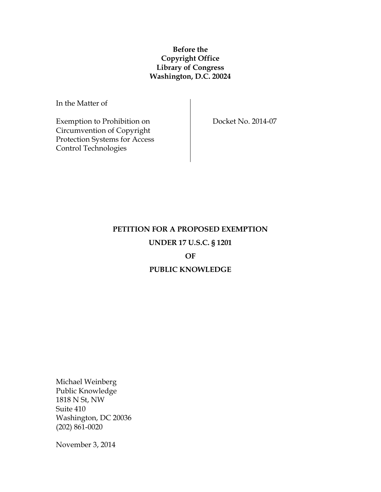## **Before the Copyright Office Library of Congress Washington, D.C. 20024**

In the Matter of

Exemption to Prohibition on Circumvention of Copyright Protection Systems for Access Control Technologies

Docket No. 2014-07

# **PETITION FOR A PROPOSED EXEMPTION UNDER 17 U.S.C. § 1201**

## **OF**

#### **PUBLIC KNOWLEDGE**

Michael Weinberg Public Knowledge 1818 N St, NW Suite 410 Washington, DC 20036 (202) 861-0020

November 3, 2014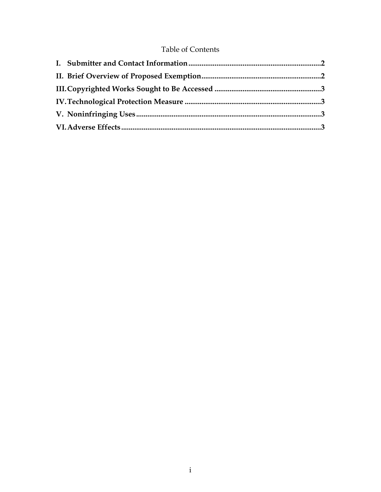# **Table of Contents**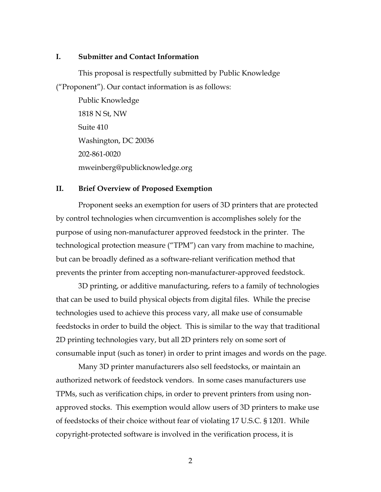#### **I. Submitter and Contact Information**

This proposal is respectfully submitted by Public Knowledge ("Proponent"). Our contact information is as follows:

Public Knowledge 1818 N St, NW Suite 410 Washington, DC 20036 202-861-0020 mweinberg@publicknowledge.org

#### **II. Brief Overview of Proposed Exemption**

Proponent seeks an exemption for users of 3D printers that are protected by control technologies when circumvention is accomplishes solely for the purpose of using non-manufacturer approved feedstock in the printer. The technological protection measure ("TPM") can vary from machine to machine, but can be broadly defined as a software-reliant verification method that prevents the printer from accepting non-manufacturer-approved feedstock.

3D printing, or additive manufacturing, refers to a family of technologies that can be used to build physical objects from digital files. While the precise technologies used to achieve this process vary, all make use of consumable feedstocks in order to build the object. This is similar to the way that traditional 2D printing technologies vary, but all 2D printers rely on some sort of consumable input (such as toner) in order to print images and words on the page.

Many 3D printer manufacturers also sell feedstocks, or maintain an authorized network of feedstock vendors. In some cases manufacturers use TPMs, such as verification chips, in order to prevent printers from using nonapproved stocks. This exemption would allow users of 3D printers to make use of feedstocks of their choice without fear of violating 17 U.S.C. § 1201. While copyright-protected software is involved in the verification process, it is

2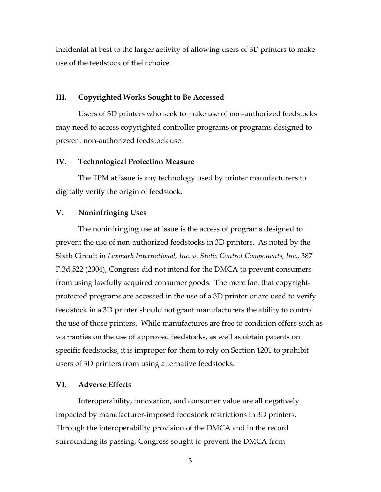incidental at best to the larger activity of allowing users of 3D printers to make use of the feedstock of their choice.

#### **III. Copyrighted Works Sought to Be Accessed**

Users of 3D printers who seek to make use of non-authorized feedstocks may need to access copyrighted controller programs or programs designed to prevent non-authorized feedstock use.

#### **IV. Technological Protection Measure**

The TPM at issue is any technology used by printer manufacturers to digitally verify the origin of feedstock.

#### **V. Noninfringing Uses**

The noninfringing use at issue is the access of programs designed to prevent the use of non-authorized feedstocks in 3D printers. As noted by the Sixth Circuit in *Lexmark International, Inc. v. Static Control Components, Inc*.*,* 387 F.3d 522 (2004), Congress did not intend for the DMCA to prevent consumers from using lawfully acquired consumer goods. The mere fact that copyrightprotected programs are accessed in the use of a 3D printer or are used to verify feedstock in a 3D printer should not grant manufacturers the ability to control the use of those printers. While manufactures are free to condition offers such as warranties on the use of approved feedstocks, as well as obtain patents on specific feedstocks, it is improper for them to rely on Section 1201 to prohibit users of 3D printers from using alternative feedstocks.

#### **VI. Adverse Effects**

Interoperability, innovation, and consumer value are all negatively impacted by manufacturer-imposed feedstock restrictions in 3D printers. Through the interoperability provision of the DMCA and in the record surrounding its passing, Congress sought to prevent the DMCA from

3